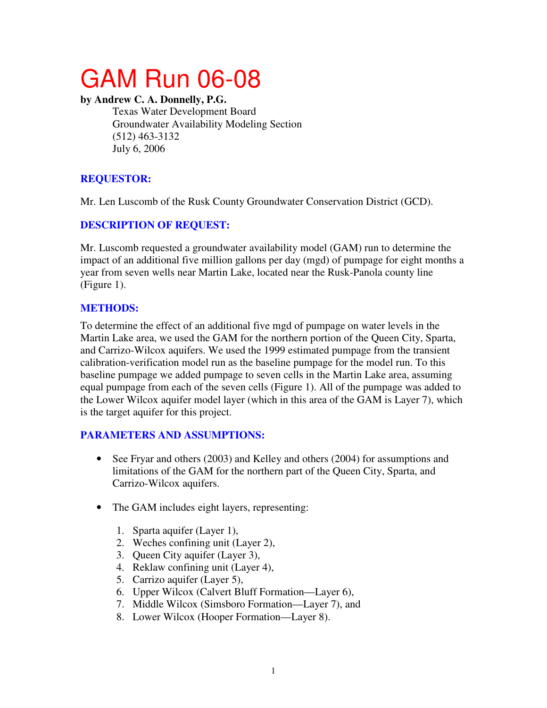# GAM Run 06-08

#### **by Andrew C. A. Donnelly, P.G.**

Texas Water Development Board Groundwater Availability Modeling Section (512) 463-3132 July 6, 2006

# **REQUESTOR:**

Mr. Len Luscomb of the Rusk County Groundwater Conservation District (GCD).

# **DESCRIPTION OF REQUEST:**

Mr. Luscomb requested a groundwater availability model (GAM) run to determine the impact of an additional five million gallons per day (mgd) of pumpage for eight months a year from seven wells near Martin Lake, located near the Rusk-Panola county line (Figure 1).

# **METHODS:**

To determine the effect of an additional five mgd of pumpage on water levels in the Martin Lake area, we used the GAM for the northern portion of the Queen City, Sparta, and Carrizo-Wilcox aquifers. We used the 1999 estimated pumpage from the transient calibration-verification model run as the baseline pumpage for the model run. To this baseline pumpage we added pumpage to seven cells in the Martin Lake area, assuming equal pumpage from each of the seven cells (Figure 1). All of the pumpage was added to the Lower Wilcox aquifer model layer (which in this area of the GAM is Layer 7), which is the target aquifer for this project.

### **PARAMETERS AND ASSUMPTIONS:**

- See Fryar and others (2003) and Kelley and others (2004) for assumptions and limitations of the GAM for the northern part of the Queen City, Sparta, and Carrizo-Wilcox aquifers.
- The GAM includes eight layers, representing:
	- 1. Sparta aquifer (Layer 1),
	- 2. Weches confining unit (Layer 2),
	- 3. Queen City aquifer (Layer 3),
	- 4. Reklaw confining unit (Layer 4),
	- 5. Carrizo aquifer (Layer 5),
	- 6. Upper Wilcox (Calvert Bluff Formation—Layer 6),
	- 7. Middle Wilcox (Simsboro Formation—Layer 7), and
	- 8. Lower Wilcox (Hooper Formation—Layer 8).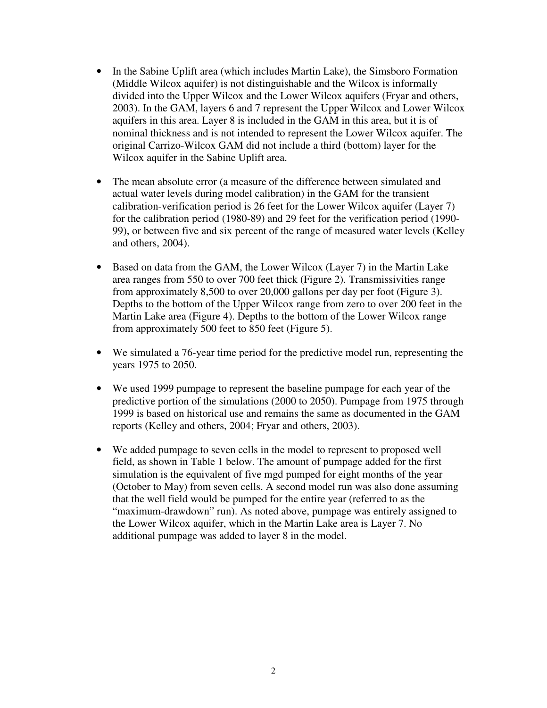- In the Sabine Uplift area (which includes Martin Lake), the Simsboro Formation (Middle Wilcox aquifer) is not distinguishable and the Wilcox is informally divided into the Upper Wilcox and the Lower Wilcox aquifers (Fryar and others, 2003). In the GAM, layers 6 and 7 represent the Upper Wilcox and Lower Wilcox aquifers in this area. Layer 8 is included in the GAM in this area, but it is of nominal thickness and is not intended to represent the Lower Wilcox aquifer. The original Carrizo-Wilcox GAM did not include a third (bottom) layer for the Wilcox aquifer in the Sabine Uplift area.
- The mean absolute error (a measure of the difference between simulated and actual water levels during model calibration) in the GAM for the transient calibration-verification period is 26 feet for the Lower Wilcox aquifer (Layer 7) for the calibration period (1980-89) and 29 feet for the verification period (1990- 99), or between five and six percent of the range of measured water levels (Kelley and others, 2004).
- Based on data from the GAM, the Lower Wilcox (Layer 7) in the Martin Lake area ranges from 550 to over 700 feet thick (Figure 2). Transmissivities range from approximately 8,500 to over 20,000 gallons per day per foot (Figure 3). Depths to the bottom of the Upper Wilcox range from zero to over 200 feet in the Martin Lake area (Figure 4). Depths to the bottom of the Lower Wilcox range from approximately 500 feet to 850 feet (Figure 5).
- We simulated a 76-year time period for the predictive model run, representing the years 1975 to 2050.
- We used 1999 pumpage to represent the baseline pumpage for each year of the predictive portion of the simulations (2000 to 2050). Pumpage from 1975 through 1999 is based on historical use and remains the same as documented in the GAM reports (Kelley and others, 2004; Fryar and others, 2003).
- We added pumpage to seven cells in the model to represent to proposed well field, as shown in Table 1 below. The amount of pumpage added for the first simulation is the equivalent of five mgd pumped for eight months of the year (October to May) from seven cells. A second model run was also done assuming that the well field would be pumped for the entire year (referred to as the "maximum-drawdown" run). As noted above, pumpage was entirely assigned to the Lower Wilcox aquifer, which in the Martin Lake area is Layer 7. No additional pumpage was added to layer 8 in the model.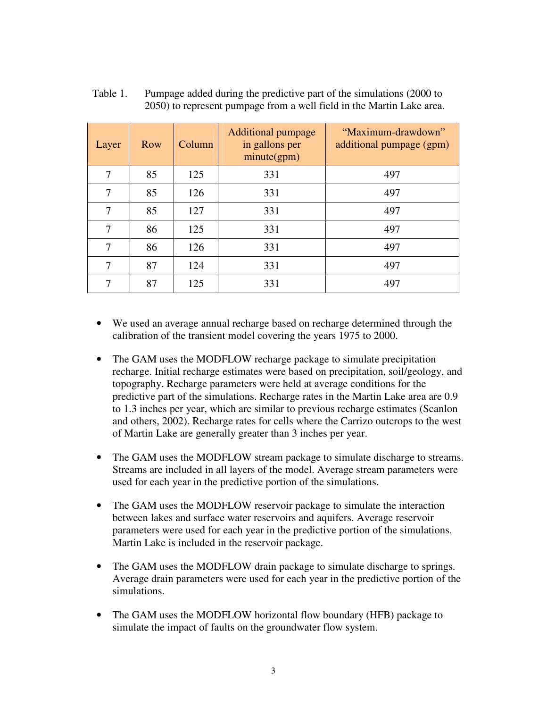| Layer | Row | Column | <b>Additional pumpage</b><br>in gallons per<br>minute(gpm) | "Maximum-drawdown"<br>additional pumpage (gpm) |
|-------|-----|--------|------------------------------------------------------------|------------------------------------------------|
| 7     | 85  | 125    | 331                                                        | 497                                            |
| 7     | 85  | 126    | 331                                                        | 497                                            |
| 7     | 85  | 127    | 331                                                        | 497                                            |
| 7     | 86  | 125    | 331                                                        | 497                                            |
| 7     | 86  | 126    | 331                                                        | 497                                            |
| 7     | 87  | 124    | 331                                                        | 497                                            |
| 7     | 87  | 125    | 331                                                        | 497                                            |

Table 1. Pumpage added during the predictive part of the simulations (2000 to 2050) to represent pumpage from a well field in the Martin Lake area.

- We used an average annual recharge based on recharge determined through the calibration of the transient model covering the years 1975 to 2000.
- The GAM uses the MODFLOW recharge package to simulate precipitation recharge. Initial recharge estimates were based on precipitation, soil/geology, and topography. Recharge parameters were held at average conditions for the predictive part of the simulations. Recharge rates in the Martin Lake area are 0.9 to 1.3 inches per year, which are similar to previous recharge estimates (Scanlon and others, 2002). Recharge rates for cells where the Carrizo outcrops to the west of Martin Lake are generally greater than 3 inches per year.
- The GAM uses the MODFLOW stream package to simulate discharge to streams. Streams are included in all layers of the model. Average stream parameters were used for each year in the predictive portion of the simulations.
- The GAM uses the MODFLOW reservoir package to simulate the interaction between lakes and surface water reservoirs and aquifers. Average reservoir parameters were used for each year in the predictive portion of the simulations. Martin Lake is included in the reservoir package.
- The GAM uses the MODFLOW drain package to simulate discharge to springs. Average drain parameters were used for each year in the predictive portion of the simulations.
- The GAM uses the MODFLOW horizontal flow boundary (HFB) package to simulate the impact of faults on the groundwater flow system.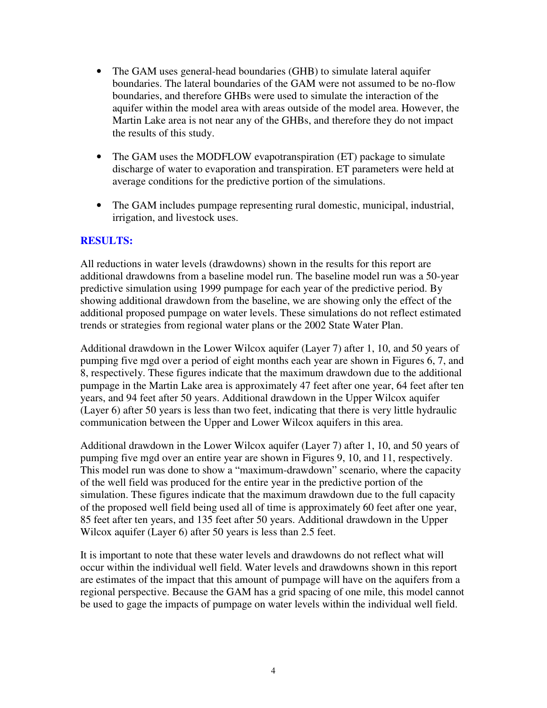- The GAM uses general-head boundaries (GHB) to simulate lateral aquifer boundaries. The lateral boundaries of the GAM were not assumed to be no-flow boundaries, and therefore GHBs were used to simulate the interaction of the aquifer within the model area with areas outside of the model area. However, the Martin Lake area is not near any of the GHBs, and therefore they do not impact the results of this study.
- The GAM uses the MODFLOW evapotranspiration (ET) package to simulate discharge of water to evaporation and transpiration. ET parameters were held at average conditions for the predictive portion of the simulations.
- The GAM includes pumpage representing rural domestic, municipal, industrial, irrigation, and livestock uses.

#### **RESULTS:**

All reductions in water levels (drawdowns) shown in the results for this report are additional drawdowns from a baseline model run. The baseline model run was a 50-year predictive simulation using 1999 pumpage for each year of the predictive period. By showing additional drawdown from the baseline, we are showing only the effect of the additional proposed pumpage on water levels. These simulations do not reflect estimated trends or strategies from regional water plans or the 2002 State Water Plan.

Additional drawdown in the Lower Wilcox aquifer (Layer 7) after 1, 10, and 50 years of pumping five mgd over a period of eight months each year are shown in Figures 6, 7, and 8, respectively. These figures indicate that the maximum drawdown due to the additional pumpage in the Martin Lake area is approximately 47 feet after one year, 64 feet after ten years, and 94 feet after 50 years. Additional drawdown in the Upper Wilcox aquifer (Layer 6) after 50 years is less than two feet, indicating that there is very little hydraulic communication between the Upper and Lower Wilcox aquifers in this area.

Additional drawdown in the Lower Wilcox aquifer (Layer 7) after 1, 10, and 50 years of pumping five mgd over an entire year are shown in Figures 9, 10, and 11, respectively. This model run was done to show a "maximum-drawdown" scenario, where the capacity of the well field was produced for the entire year in the predictive portion of the simulation. These figures indicate that the maximum drawdown due to the full capacity of the proposed well field being used all of time is approximately 60 feet after one year, 85 feet after ten years, and 135 feet after 50 years. Additional drawdown in the Upper Wilcox aquifer (Layer 6) after 50 years is less than 2.5 feet.

It is important to note that these water levels and drawdowns do not reflect what will occur within the individual well field. Water levels and drawdowns shown in this report are estimates of the impact that this amount of pumpage will have on the aquifers from a regional perspective. Because the GAM has a grid spacing of one mile, this model cannot be used to gage the impacts of pumpage on water levels within the individual well field.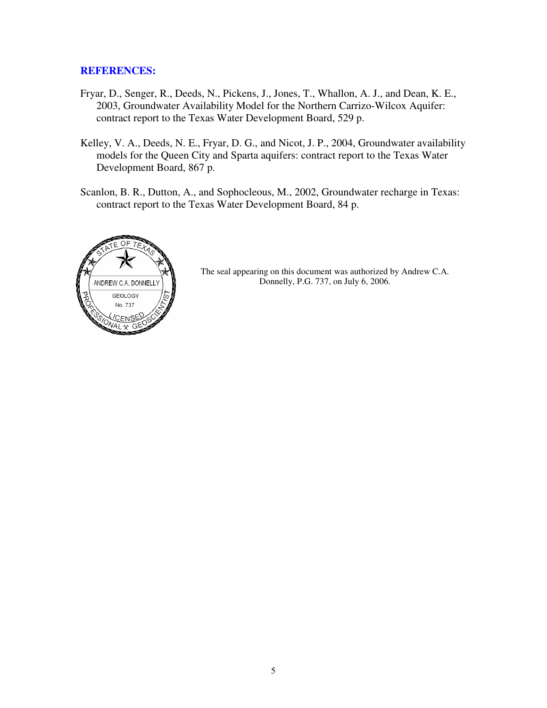#### **REFERENCES:**

- Fryar, D., Senger, R., Deeds, N., Pickens, J., Jones, T., Whallon, A. J., and Dean, K. E., 2003, Groundwater Availability Model for the Northern Carrizo-Wilcox Aquifer: contract report to the Texas Water Development Board, 529 p.
- Kelley, V. A., Deeds, N. E., Fryar, D. G., and Nicot, J. P., 2004, Groundwater availability models for the Queen City and Sparta aquifers: contract report to the Texas Water Development Board, 867 p.
- Scanlon, B. R., Dutton, A., and Sophocleous, M., 2002, Groundwater recharge in Texas: contract report to the Texas Water Development Board, 84 p.



The seal appearing on this document was authorized by Andrew C.A. Donnelly, P.G. 737, on July 6, 2006.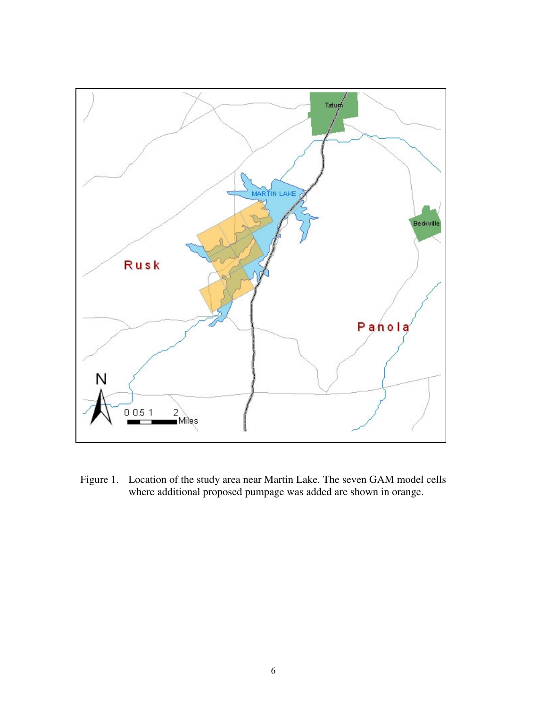

Figure 1. Location of the study area near Martin Lake. The seven GAM model cells where additional proposed pumpage was added are shown in orange.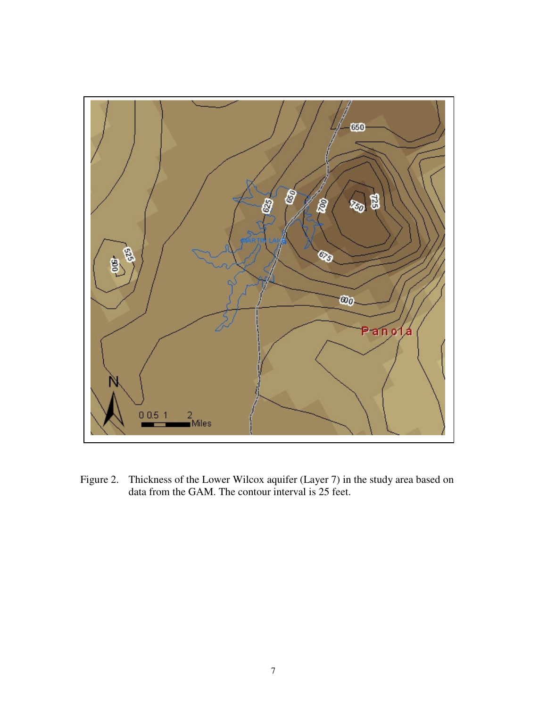

Figure 2. Thickness of the Lower Wilcox aquifer (Layer 7) in the study area based on data from the GAM. The contour interval is 25 feet.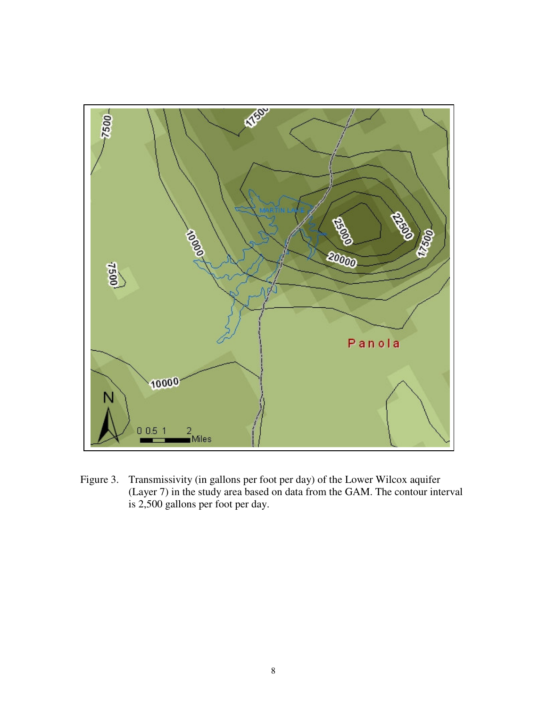

Figure 3. Transmissivity (in gallons per foot per day) of the Lower Wilcox aquifer (Layer 7) in the study area based on data from the GAM. The contour interval is 2,500 gallons per foot per day.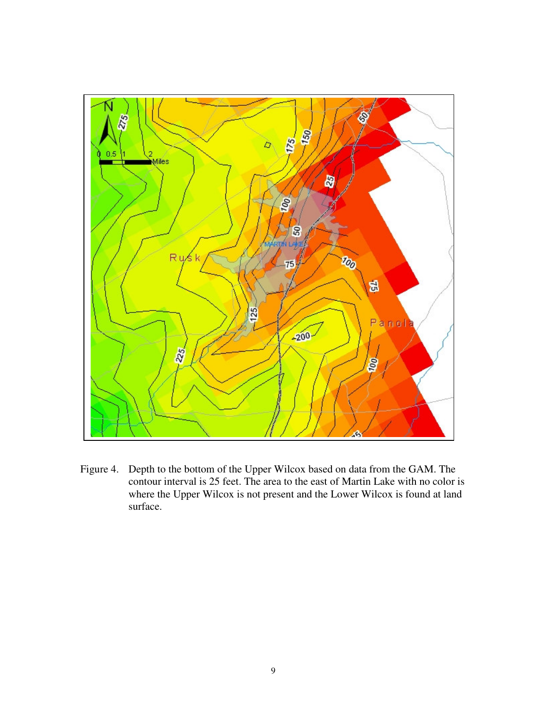

Figure 4. Depth to the bottom of the Upper Wilcox based on data from the GAM. The contour interval is 25 feet. The area to the east of Martin Lake with no color is where the Upper Wilcox is not present and the Lower Wilcox is found at land surface.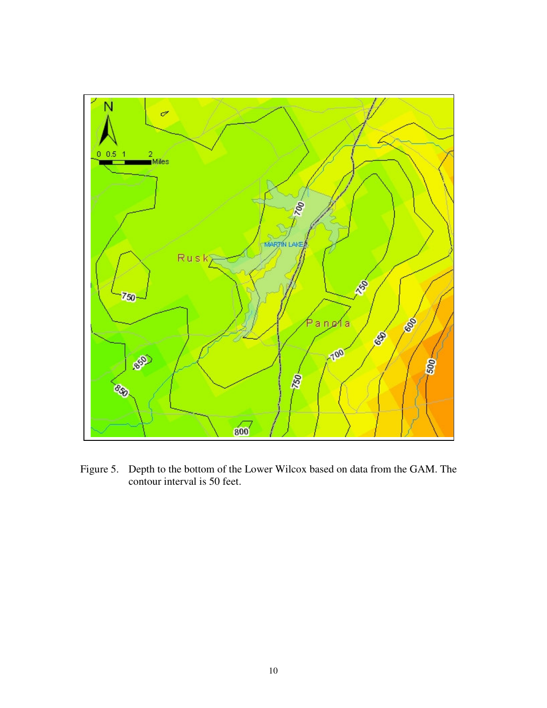

Figure 5. Depth to the bottom of the Lower Wilcox based on data from the GAM. The contour interval is 50 feet.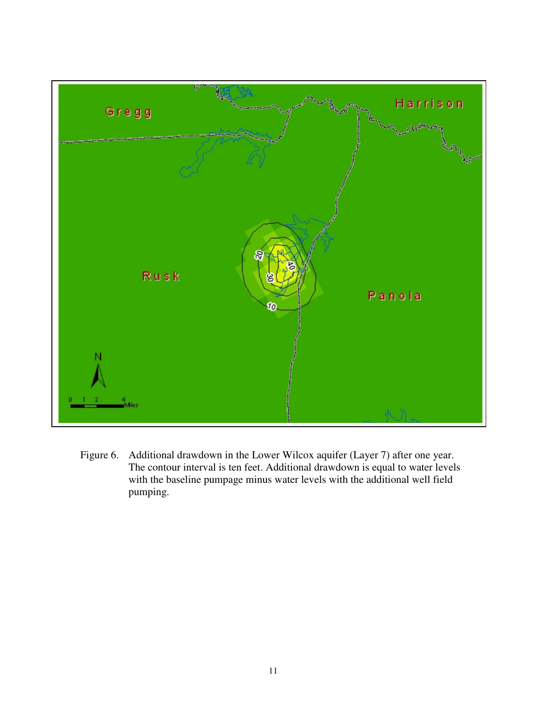

Figure 6. Additional drawdown in the Lower Wilcox aquifer (Layer 7) after one year. The contour interval is ten feet. Additional drawdown is equal to water levels with the baseline pumpage minus water levels with the additional well field pumping.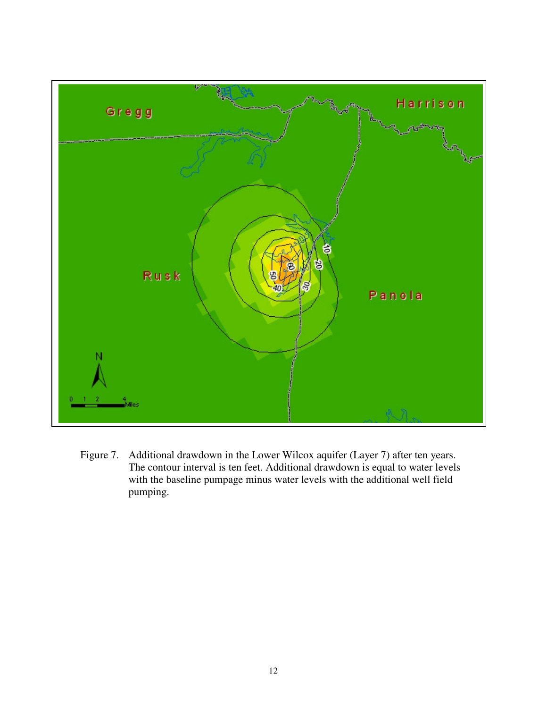

Figure 7. Additional drawdown in the Lower Wilcox aquifer (Layer 7) after ten years. The contour interval is ten feet. Additional drawdown is equal to water levels with the baseline pumpage minus water levels with the additional well field pumping.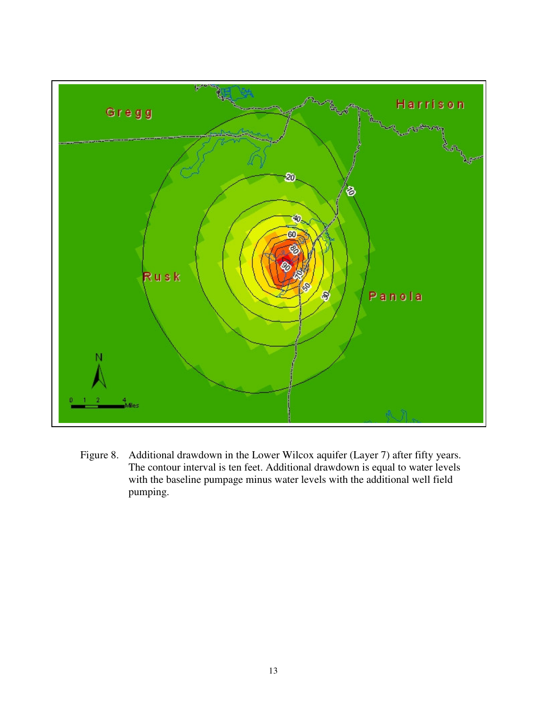

Figure 8. Additional drawdown in the Lower Wilcox aquifer (Layer 7) after fifty years. The contour interval is ten feet. Additional drawdown is equal to water levels with the baseline pumpage minus water levels with the additional well field pumping.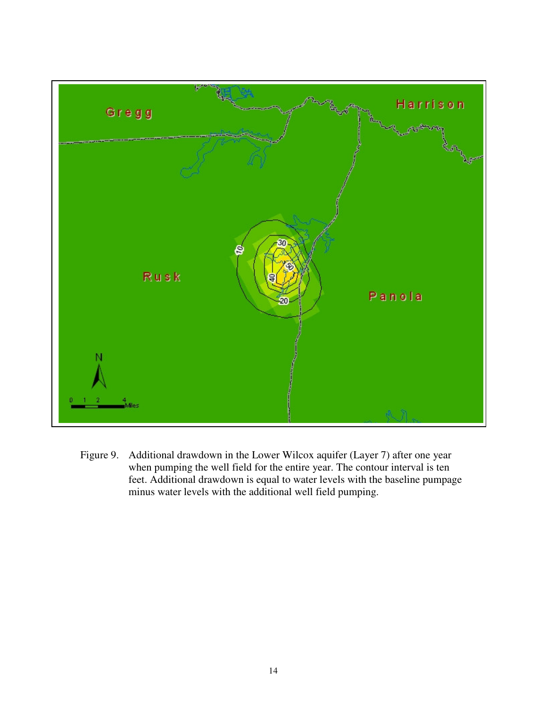

Figure 9. Additional drawdown in the Lower Wilcox aquifer (Layer 7) after one year when pumping the well field for the entire year. The contour interval is ten feet. Additional drawdown is equal to water levels with the baseline pumpage minus water levels with the additional well field pumping.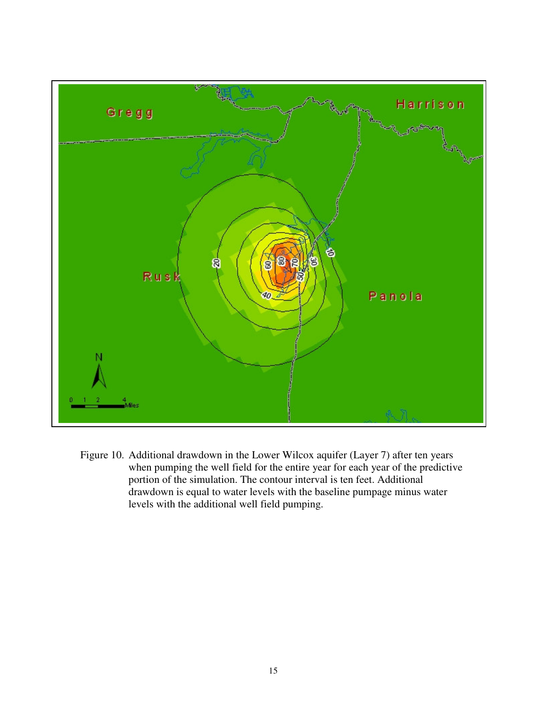

Figure 10. Additional drawdown in the Lower Wilcox aquifer (Layer 7) after ten years when pumping the well field for the entire year for each year of the predictive portion of the simulation. The contour interval is ten feet. Additional drawdown is equal to water levels with the baseline pumpage minus water levels with the additional well field pumping.